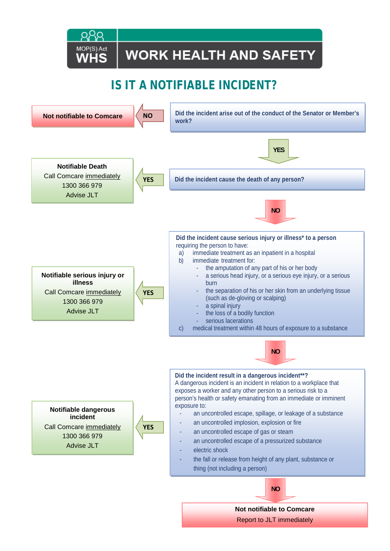## **WORK HEALTH AND SAFETY**

## IS IT A NOTIFIABLE INCIDENT?

MOP(S) Act